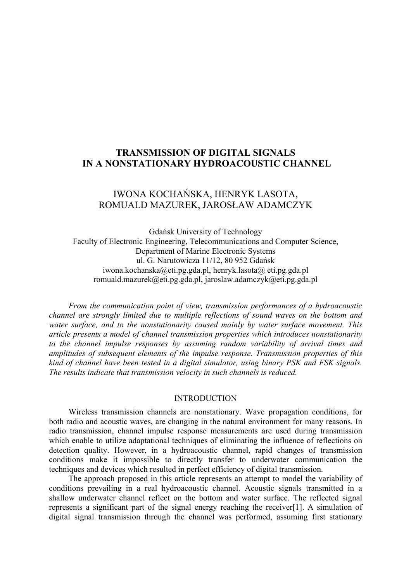# **TRANSMISSION OF DIGITAL SIGNALS IN A NONSTATIONARY HYDROACOUSTIC CHANNEL**

# IWONA KOCHAŃSKA, HENRYK LASOTA, ROMUALD MAZUREK, JAROSŁAW ADAMCZYK

Gdańsk University of Technology Faculty of Electronic Engineering, Telecommunications and Computer Science, Department of Marine Electronic Systems ul. G. Narutowicza 11/12, 80 952 Gdańsk [iwona.kochanska@eti.pg.gda.pl,](mailto:iwona.kochanska@eti.pg.gda.pl) henryk.lasota@ eti.pg.gda.pl [romuald.mazurek@eti.pg.gda.pl,](mailto:romuald.mazurek@eti.pg.gda.pl) jaroslaw.adamczyk@eti.pg.gda.pl

*From the communication point of view, transmission performances of a hydroacoustic channel are strongly limited due to multiple reflections of sound waves on the bottom and water surface, and to the nonstationarity caused mainly by water surface movement. This article presents a model of channel transmission properties which introduces nonstationarity to the channel impulse responses by assuming random variability of arrival times and amplitudes of subsequent elements of the impulse response. Transmission properties of this kind of channel have been tested in a digital simulator, using binary PSK and FSK signals. The results indicate that transmission velocity in such channels is reduced.* 

# INTRODUCTION

Wireless transmission channels are nonstationary. Wave propagation conditions, for both radio and acoustic waves, are changing in the natural environment for many reasons. In radio transmission, channel impulse response measurements are used during transmission which enable to utilize adaptational techniques of eliminating the influence of reflections on detection quality. However, in a hydroacoustic channel, rapid changes of transmission conditions make it impossible to directly transfer to underwater communication the techniques and devices which resulted in perfect efficiency of digital transmission.

The approach proposed in this article represents an attempt to model the variability of conditions prevailing in a real hydroacoustic channel. Acoustic signals transmitted in a shallow underwater channel reflect on the bottom and water surface. The reflected signal represents a significant part of the signal energy reaching the receiver[\[1\].](#page-5-0) A simulation of digital signal transmission through the channel was performed, assuming first stationary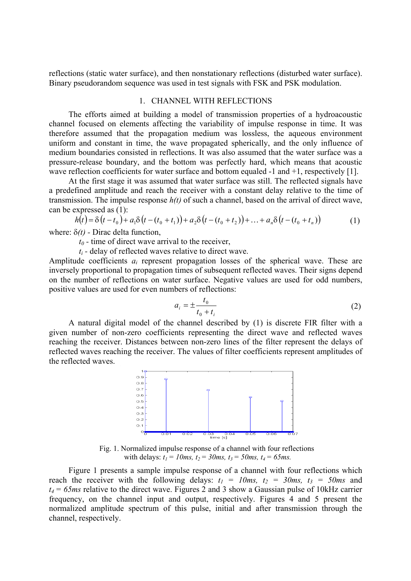reflections (static water surface), and then nonstationary reflections (disturbed water surface). Binary pseudorandom sequence was used in test signals with FSK and PSK modulation.

#### 1. CHANNEL WITH REFLECTIONS

The efforts aimed at building a model of transmission properties of a hydroacoustic channel focused on elements affecting the variability of impulse response in time. It was therefore assumed that the propagation medium was lossless, the aqueous environment uniform and constant in time, the wave propagated spherically, and the only influence of medium boundaries consisted in reflections. It was also assumed that the water surface was a pressure-release boundary, and the bottom was perfectly hard, which means that acoustic wave reflection coefficients for water surface and bottom equaled -1 and +1, respectively [\[1\].](#page-5-0)

At the first stage it was assumed that water surface was still. The reflected signals have a predefined amplitude and reach the receiver with a constant delay relative to the time of transmission. The impulse response *h(t)* of such a channel, based on the arrival of direct wave, can be expressed as (1):

$$
h(t) = \delta(t - t_0) + a_1 \delta(t - (t_0 + t_1)) + a_2 \delta(t - (t_0 + t_2)) + ... + a_n \delta(t - (t_0 + t_n))
$$
\n(1)

where: δ*(t)* - Dirac delta function,

 *t0 -* time of direct wave arrival to the receiver,

*ti -* delay of reflected waves relative to direct wave.

Amplitude coefficients *ai* represent propagation losses of the spherical wave. These are inversely proportional to propagation times of subsequent reflected waves. Their signs depend on the number of reflections on water surface. Negative values are used for odd numbers, positive values are used for even numbers of reflections:

$$
a_i = \pm \frac{t_0}{t_0 + t_i} \tag{2}
$$

A natural digital model of the channel described by (1) is discrete FIR filter with a given number of non-zero coefficients representing the direct wave and reflected waves reaching the receiver. Distances between non-zero lines of the filter represent the delays of reflected waves reaching the receiver. The values of filter coefficients represent amplitudes of the reflected waves.



Fig. 1. Normalized impulse response of a channel with four reflections with delays:  $t_1 = 10$ ms,  $t_2 = 30$ ms,  $t_3 = 50$ ms,  $t_4 = 65$ ms.

Figure 1 presents a sample impulse response of a channel with four reflections which reach the receiver with the following delays:  $t_1 = 10$ ms,  $t_2 = 30$ ms,  $t_3 = 50$ ms and  $t_4 = 65$ *ms* relative to the direct wave. Figures 2 and 3 show a Gaussian pulse of 10kHz carrier frequency, on the channel input and output, respectively. Figures 4 and 5 present the normalized amplitude spectrum of this pulse, initial and after transmission through the channel, respectively.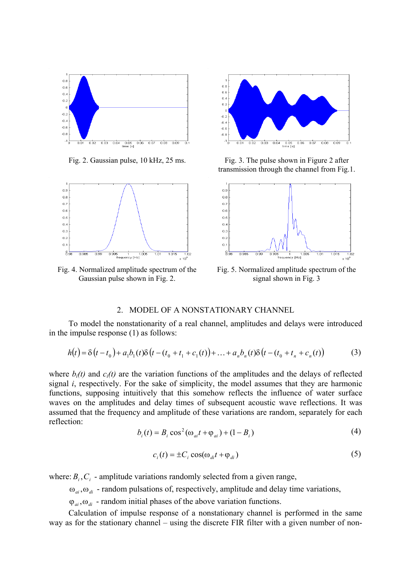



Fig. 4. Normalized amplitude spectrum of the Gaussian pulse shown in Fig. 2.



Fig. 2. Gaussian pulse, 10 kHz, 25 ms. Fig. 3. The pulse shown in Figure 2 after transmission through the channel from Fig.1.



Fig. 5. Normalized amplitude spectrum of the signal shown in Fig. 3

## 2. MODEL OF A NONSTATIONARY CHANNEL

To model the nonstationarity of a real channel, amplitudes and delays were introduced in the impulse response (1) as follows:

$$
h(t) = \delta(t - t_0) + a_1 b_1(t) \delta(t - (t_0 + t_1 + c_1(t)) + ... + a_n b_n(t) \delta(t - (t_0 + t_n + c_n(t))
$$
 (3)

where  $b_i(t)$  and  $c_i(t)$  are the variation functions of the amplitudes and the delays of reflected signal *i*, respectively. For the sake of simplicity, the model assumes that they are harmonic functions, supposing intuitively that this somehow reflects the influence of water surface waves on the amplitudes and delay times of subsequent acoustic wave reflections. It was assumed that the frequency and amplitude of these variations are random, separately for each reflection:

$$
b_i(t) = B_i \cos^2(\omega_{ai}t + \varphi_{ai}) + (1 - B_i)
$$
 (4)

$$
c_i(t) = \pm C_i \cos(\omega_{di} t + \varphi_{di})
$$
\n<sup>(5)</sup>

where:  $B_i$ ,  $C_i$  - amplitude variations randomly selected from a given range,

 $\omega_{ai}, \omega_{di}$  - random pulsations of, respectively, amplitude and delay time variations,

 $\varphi_{ai}, \omega_{di}$  - random initial phases of the above variation functions.

Calculation of impulse response of a nonstationary channel is performed in the same way as for the stationary channel – using the discrete FIR filter with a given number of non-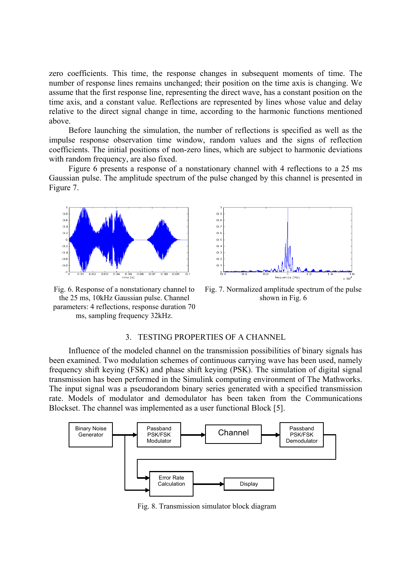zero coefficients. This time, the response changes in subsequent moments of time. The number of response lines remains unchanged; their position on the time axis is changing. We assume that the first response line, representing the direct wave, has a constant position on the time axis, and a constant value. Reflections are represented by lines whose value and delay relative to the direct signal change in time, according to the harmonic functions mentioned above.

Before launching the simulation, the number of reflections is specified as well as the impulse response observation time window, random values and the signs of reflection coefficients. The initial positions of non-zero lines, which are subject to harmonic deviations with random frequency, are also fixed.

Figure 6 presents a response of a nonstationary channel with 4 reflections to a 25 ms Gaussian pulse. The amplitude spectrum of the pulse changed by this channel is presented in Figure 7.



Fig. 6. Response of a nonstationary channel to the 25 ms, 10kHz Gaussian pulse. Channel parameters: 4 reflections, response duration 70 ms, sampling frequency 32kHz.



Fig. 7. Normalized amplitude spectrum of the pulse shown in Fig. 6

#### 3. TESTING PROPERTIES OF A CHANNEL

Influence of the modeled channel on the transmission possibilities of binary signals has been examined. Two modulation schemes of continuous carrying wave has been used, namely frequency shift keying (FSK) and phase shift keying (PSK). The simulation of digital signal transmission has been performed in the Simulink computing environment of The Mathworks. The input signal was a pseudorandom binary series generated with a specified transmission rate. Models of modulator and demodulator has been taken from the Communications Blockset. The channel was implemented as a user functional Block [\[5\].](#page-5-1)



Fig. 8. Transmission simulator block diagram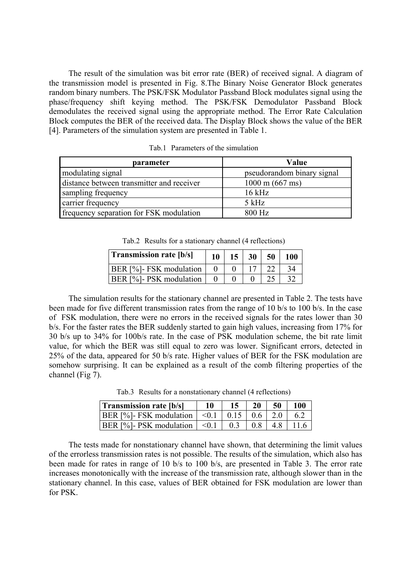The result of the simulation was bit error rate (BER) of received signal. A diagram of the transmission model is presented in Fig. 8.The Binary Noise Generator Block generates random binary numbers. The PSK/FSK Modulator Passband Block modulates signal using the phase/frequency shift keying method. The PSK/FSK Demodulator Passband Block demodulates the received signal using the appropriate method. The Error Rate Calculation Block computes the BER of the received data. The Display Block shows the value of the BER [\[4\].](#page-5-2) Parameters of the simulation system are presented in Table 1.

| parameter                                 | Value                      |  |  |
|-------------------------------------------|----------------------------|--|--|
| modulating signal                         | pseudorandom binary signal |  |  |
| distance between transmitter and receiver | $1000 \text{ m}$ (667 ms)  |  |  |
| sampling frequency                        | $16$ kHz                   |  |  |
| carrier frequency                         | $5$ kHz                    |  |  |
| frequency separation for FSK modulation   | 800 Hz                     |  |  |

Tab.1 Parameters of the simulation

| Table Results for a stationary channel (4 reflections) |    |                 |                 |    |     |  |  |  |
|--------------------------------------------------------|----|-----------------|-----------------|----|-----|--|--|--|
| <b>Transmission rate [b/s]</b>                         | 10 | 15 <sup>1</sup> | 30 <sup>1</sup> | 50 | 100 |  |  |  |
| BER [%]- FSK modulation                                |    |                 |                 |    | 34  |  |  |  |
| <b>BER</b> [%]- PSK modulation                         |    |                 |                 |    | 32  |  |  |  |

Tab.2 Results for a stationary channel (4 reflections)

The simulation results for the stationary channel are presented in Table 2. The tests have been made for five different transmission rates from the range of 10 b/s to 100 b/s. In the case of FSK modulation, there were no errors in the received signals for the rates lower than 30 b/s. For the faster rates the BER suddenly started to gain high values, increasing from 17% for 30 b/s up to 34% for 100b/s rate. In the case of PSK modulation scheme, the bit rate limit value, for which the BER was still equal to zero was lower. Significant errors, detected in 25% of the data, appeared for 50 b/s rate. Higher values of BER for the FSK modulation are somehow surprising. It can be explained as a result of the comb filtering properties of the channel (Fig 7).

Tab.3 Results for a nonstationary channel (4 reflections)

| <b>Transmission rate [b/s]</b>                         |    | 20 | 50          | 100 |
|--------------------------------------------------------|----|----|-------------|-----|
| BER [%]- FSK modulation $  \le 0.1   0.15   0.6   2.0$ |    |    |             |     |
| $ BER [%]$ - PSK modulation $  \le 0.1  $              | 03 |    | $0.8$   4.8 |     |

The tests made for nonstationary channel have shown, that determining the limit values of the errorless transmission rates is not possible. The results of the simulation, which also has been made for rates in range of 10 b/s to 100 b/s, are presented in Table 3. The error rate increases monotonically with the increase of the transmission rate, although slower than in the stationary channel. In this case, values of BER obtained for FSK modulation are lower than for PSK.